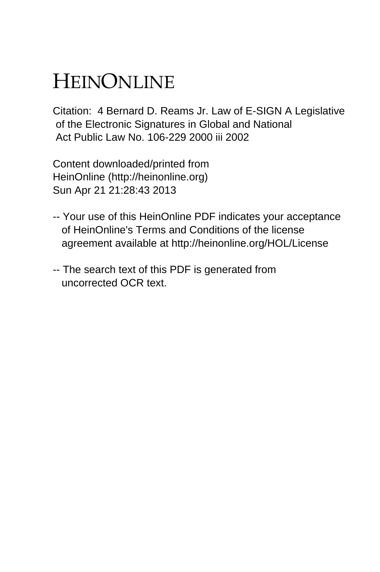# HEINONLINE

Citation: 4 Bernard D. Reams Jr. Law of E-SIGN A Legislative of the Electronic Signatures in Global and National Act Public Law No. 106-229 2000 iii 2002

Content downloaded/printed from HeinOnline (http://heinonline.org) Sun Apr 21 21:28:43 2013

- -- Your use of this HeinOnline PDF indicates your acceptance of HeinOnline's Terms and Conditions of the license agreement available at http://heinonline.org/HOL/License
- -- The search text of this PDF is generated from uncorrected OCR text.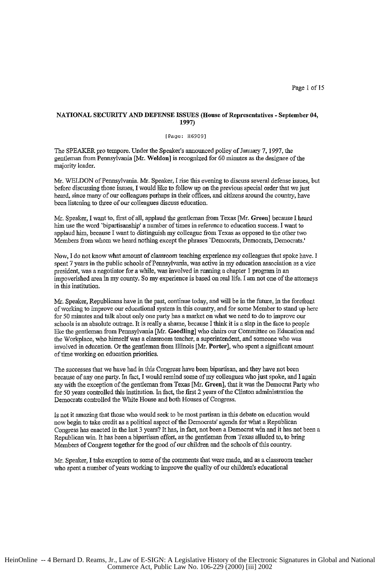#### **NATIONAL SECURITY AND DEFENSE ISSUES (House of Representatives - September 04, 1997)**

[Page: H6909]

The SPEAKER *pro* tempore. Under the Speaker's announced policy of January **7,** 1997, the gentleman from Pennsylvania [Mr. Weldon] is recognized for 60 minutes as the designee of the majority leader.

Mr. WELDON of Pennsylvania. Mr. Speaker, I rise this evening to discuss several defense issues, but before discussing those issues, I would like to follow up on the previous special order that we just heard, since many of our colleagues perhaps in their offices, and citizens around the country, have been listening to three of our colleagues discuss education.

Mr. Speaker, I want to, first of all, applaud the gentleman from Texas [Mr. Green] because I heard him use the word 'bipartisanship' a number of times in reference to education success. I want to applaud him, because I want to distinguish my colleague from Texas as opposed to the other two Members from whom we heard nothing except the phrases 'Democrats, Democrats, Democrats.'

Now, I do not know what amount of classroom teaching experience my colleagues that spoke have. I spent **7** years in the public schools of Pennsylvania, was active in my education association as a vice president, was a negotiator for a while, was involved in running a chapter 1 program in an impoverished area in my county. So my experience is based on real life. I am not one of the attorneys in this institution.

Mr. Speaker, Republicans have in the past, continue today, and will be in the future, in the forefront of working to improve our educational system in this country, and for some Member to stand up here for 50 minutes and talk about only one party has a market on what we need to do to improve our schools is an absolute outrage. It is really a shame, because I think it is a slap in the face to people like the gentleman from Pennsylvania [Mr. Goodling] who chairs our Committee on Education and the Workplace, who himself was a classroom teacher, a superintendent, and someone who was involved in education. Or the gentleman from Illinois [Mr. Porter], who spent a significant amount of time working on education priorities.

The successes that we have had in this Congress have been bipartisan, and they have not been because of any one party. In fact., I would remind some of my colleagues who just spoke, and I again say with the exception of the gentleman from Texas [Mr. Green], that it was the Democrat Party who for 50 years controlled this institution. In fact, the first 2 years of the Clinton administration the Democrats controlled the White House and both Houses of Congress.

Is not it amazing that those who would seek to be most partisan in this debate on education would now begin to take credit as a political aspect of the Democrats' agenda for what a Republican Congress has enacted in the last 3 years? It has, in fact, not been a Democrat win and it has not been a Republican win. It has been a bipartisan effort, as the gentleman from Texas alluded to, to bring Members of Congress together for the good of our children and the schools of this country.

Mr. Speaker, I take exception to some of the comments that were made, and as a classroom teacher who spent a number of years working to improve the quality of our children's educational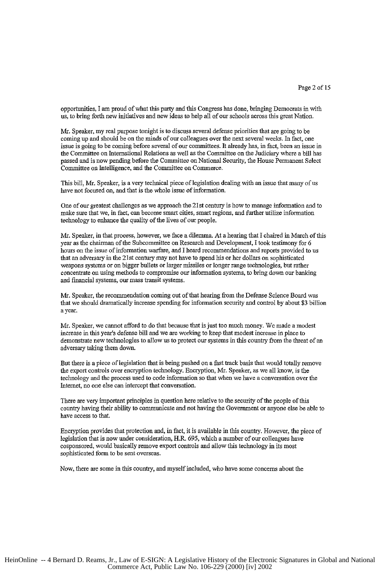opportunities, I am proud of what this party and this Congress has done, bringing Democrats in with us, to bring forth new initiatives and new ideas to help all of our schools across this great Nation.

Mr. Speaker, my real purpose tonight is to discuss several defense priorities that are going to be coming up and should be on the minds of our colleagues over the next several weeks. In fact, one issue is going to be coming before several of our committees. It already has, in fact, been an issue in the Committee on International Relations as well as the Committee on the Judiciary where a bill has passed and is now pending before the Committee on National Security, the House Permanent Select Committee on Intelligence, and the Committee on Commerce.

This bill, Mr. Speaker, is a very technical piece of legislation dealing with an issue that many of us have not focused on, and that is the whole issue of information.

One of our greatest challenges as we approach the 21 st century is how to manage information and to make sure that we, in fact, can become smart cities, smart regions, and fnrther utilize information technology to enhance the quality of the lives of our people.

Mr. Speaker, in that process, however, we face a dilemma. At a hearing that I chaired in March of this year as the chairman of the Subcommittee on Research and Development, I took testimony for 6 hours on the issue of information warfare, and I heard recommendations and reports provided to us that an adversary in the 21st century may not have to spend his or her dollars on sophisticated weapons systems or on bigger bullets or larger missiles or longer range technologies, but rather concentrate on using methods to compromise our information systems, to bring down our banking and financial systems, our mass transit systems.

Mr. Speaker, the recommendation coming out of that hearing from the Defense Science Board was that we should dramatically increase spending for information security and control by about \$3 billion a year.

Mr. Speaker, we cannot afford to do that because that is just too much money. We made a modest increase in this year's defense bill and we are working to keep that modest increase in place to demonstrate new technologies to allow us to protect our systems in this country from the threat of an adversary taking them down.

But there is a piece of legislation that is being pushed on a fast track basis that would totally remove the export controls over encryption technology. Encryption, Mr. Speaker, as we all know, is the technology and the process used to code information so that when we have a conversation over the Internet, no one else can intercept that conversation.

There are very important principles in question here relative to the security of the people of this country having their ability to communicate and not having the Government or anyone else be able to have access to that.

Encryption provides that protection and, in fact, it is available in this country. However, the piece of legislation that is now under consideration, H.R. *695,* which a number of our colleagues have cosponsored, would basically remove export controls and allow this technology in its most sophisticated form to be sent overseas.

Now, there are some in this country, and myself included, who have some concerns about the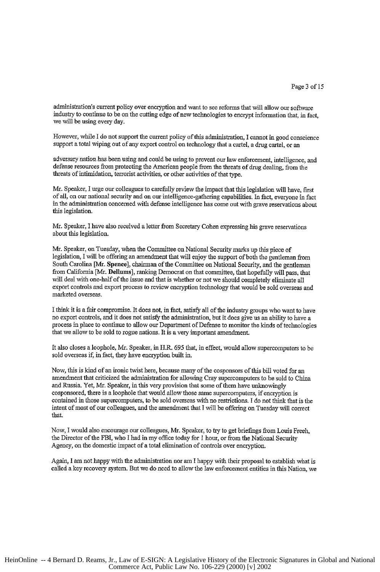administration's current policy over encryption and want to see reforms that will allow our software industry to continue to be on the cutting edge of new technologies to encrypt information that, in fact, we will be using every day.

However, while I do not support the current policy of this administration, I cannot in good conscience support a total wiping out of any export control on technology that a cartel, a drug cartel, or an

adversary nation has been using and could be using to prevent our law enforcement, intelligence, and defense resources from protecting the American people from the threats of drug dealing, from the threats of intimidation, terrorist activities, or other activities of that type.

Mr. Speaker, I urge our colleagues to carefully review the impact that this legislation will have, first of all, on our national security and on our intelligence-gathering capabilities. In fact, everyone in fact in the administration concerned with defense intelligence has come out with grave reservations about this legislation.

Mr. Speaker, I have also received a letter from Secretary Cohen expressing his grave reservations about this legislation.

Mr. Speaker, on Tuesday, when the Committee on National Security marks up this piece of legislation, I will be offering an amendment that will enjoy the support of both the gentleman from South Carolina [Mr. Spence], chairman of the Committee on National Security, and the gentleman from California [Mr. Dellums], ranking Democrat on that committee, that hopefully will pass, that will deal with one-half of the issue and that is whether or not we should completely eliminate all export controls and export process to review encryption technology that would be sold overseas and marketed overseas.

I think it is a fair compromise. It does not, in fact, satisfy all of the industry groups who want to have no export controls, and it does not satisfy the administration, but it does give us an ability to have a process in place to continue to allow our Department of Defense to monitor the kinds of technologies that we allow to be sold to rogue nations. It is a very important amendment.

It also closes a loophole, Mr. Speaker, in H.R. 695 that, in effect, would allow supercomputers to be sold overseas if, in fact, they have encryption built in.

Now, this is kind of an ironic twist here, because many of the cosponsors of this bill voted for an amendment that criticized the administration for allowing Cray supercomputers to be sold to China and Russia. Yet, Mr. Speaker, in this very provision that some of them have unknowingly cosponsored, there is a loophole that would allow those same supercomputers, if encryption is contained in those supercomputers, to be sold overseas with no restrictions. I do not think that is the intent of most of our colleagues, and the amendment that I will be offering on Tuesday will correct that.

Now, I would also encourage our colleagues, Mr. Speaker, to try to get briefings from Louis Freeh, the Director of the FBI, who I had in my office today for 1 hour, or from the National Security Agency, on the domestic impact of a total elimination of controls over encryption.

Again, **I** am not happy with the administration nor am I happy with their proposal to establish what is called a key recovery system. But we do need to allow the law enforcement entities in this Nation, we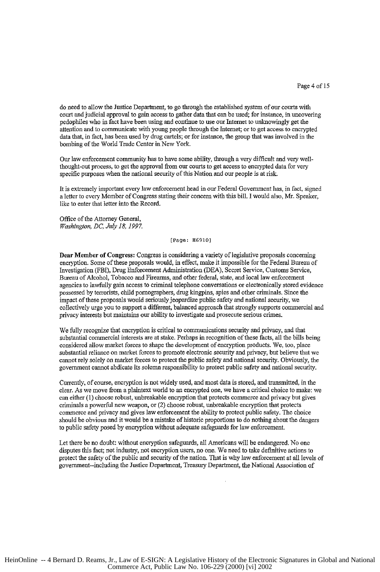do need to allow the Justice Department, to go through the established system of our courts with court and judicial approval to gain access to gather data that can be used; for instance, in uncovering pedophiles who in fact have been using and continue to use our Internet to unknowingly get the attention and to communicate with young people through the Internet; or to get access to encrypted data that, in fact, has been used by drug cartels; or for instance, the group that was involved in the bombing of the World Trade Center in New York.

Our law enforcement community has to have some ability, through a very difficult and very wellthought-out process, to get the approval from our courts to get access to encrypted data for very specific purposes when the national security of this Nation and our people is at risk.

It is extremely important every law enforcement head in our Federal Government has, in fact, signed a letter to every Member of Congress stating their concern with this bill. I would also, Mr. Speaker, like to enter that letter into the Record.

Office of the Attorney General, *Washington, DC, July 18, 1997.*

[Page: **H6910]**

Dear Member of Congress: Congress is considering a variety of legislative proposals concerning encryption. Some of these proposals would, in effect, make it impossible for the Federal Bureau of Investigation (FBI), Drug Enforcement Administration (DEA), Secret Service, Customs Service, Bureau of Alcohol, Tobacco and Firearms, and other federal, state, and local law enforcement agencies to lawfully gain access to criminal telephone conversations or electronically stored evidence possessed by terrorists, child pornographers, drug kingpins, spies and other criminals. Since the impact of these proposals would seriously jeopardize public safety and national security, we collectively urge you to support a different, balanced approach that strongly supports commercial and privacy interests but maintains our ability to investigate and prosecute serious crimes.

We fully recognize that encryption is critical to communications security and privacy, and that substantial commercial interests are at stake. Perhaps in recognition of these facts, all the bills being considered allow market forces to shape the development of encryption products. We, too, place substantial reliance on market forces to promote electronic security and privacy, but believe that we cannot rely solely on market forces to protect the public safety and national security. Obviously, the government cannot abdicate its solemn responsibility to protect public safety and national security.

Currently, of course, encryption is not widely used, and most data is stored, and transmitted, in the clear. As we move from a plaintext world to an encrypted one, we have a critical choice to make: we can either (1) choose robust, unbreakable encryption that protects commerce and privacy but gives criminals a powerful new weapon, or (2) choose robust, unbreakable encryption that protects commerce and privacy and gives law enforcement the ability to protect public safety. The choice should be obvious and it would be a mistake of historic proportions to do nothing about the dangers to public safety posed by encryption without adequate safeguards for law enforcement.

Let there be no doubt: without encryption safeguards, all Americans will be endangered. No one disputes this fact; not industry, not encryption users, no one. We need to take definitive actions to protect the safety of the public and security of the nation. That is why law enforcement at all levels of government--including the Justice Department, Treasury Department, the National Association of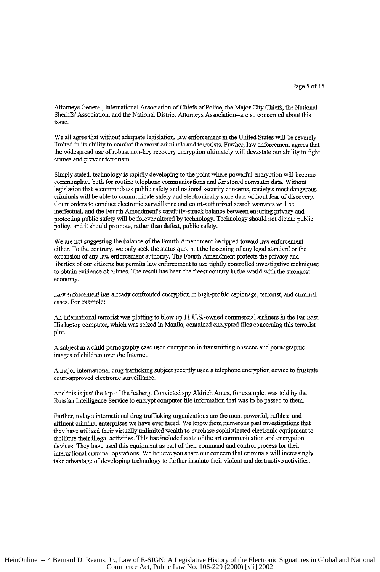Attorneys General, International Association of Chiefs of Police, the Major City Chiefs, the National Sheriffs' Association, and the National District Attorneys Association--are so concerned about this issue.

We all agree that without adequate legislation, law enforcement in the United States will be severely limited in its ability to combat the worst criminals and terrorists. Further, law enforcement agrees that the widespread use of robust non-key recovery encryption ultimately will devastate our ability to fight crimes and prevent terrorism.

Simply stated, technology is rapidly developing to the point where powerful encryption will become commonplace both for routine telephone communications and for stored computer data. Without legislation that accommodates public safety and national security concerns, society's most dangerous criminals will be able to communicate safely and electronically store data without fear of discovery. Court orders to conduct electronic surveillance and court-authorized search warrants will be ineffectual, and the Fourth Amendment's carefully-struck balance between ensuring privacy and protecting public safety will be forever altered by technology. Technology should not dictate public policy, and it should promote, rather than defeat, public safety.

We are not suggesting the balance of the Fourth Amendment be tipped toward law enforcement either. To the contrary, we only seek the status quo, not the lessening of any legal standard or the expansion of any law enforcement authority. The Fourth Amendment protects the privacy and liberties of our citizens but permits law enforcement to use tightly controlled investigative techniques to obtain evidence of crimes. The result has been the freest country in the world with the strongest economy.

Law enforcement has already confronted encryption in high-profile espionage, terrorist, and criminal cases. For example:

An international terrorist was plotting to blow up 11 U.S.-owned commercial airliners in the Far East. His laptop computer, which was seized in Manila, contained encrypted files concerning this terrorist plot.

A subject in a child pornography case used encryption in transmitting obscene and pornographic images of children over the Internet.

A major international drug trafficking subject recently used a telephone encryption device to frustrate court-approved electronic surveillance.

And this is just the top of the iceberg. Convicted spy Aldrich Ames, for example, was told by the Russian Intelligence Service to encrypt computer file information that was to be passed to them.

Further, today's international drug trafficking organizations are the most powerful, ruthless and affluent criminal enterprises we have ever faced. We know from numerous past investigations that they have utilized their virtually unlimited wealth to purchase sophisticated electronic equipment to facilitate their illegal activities. This has included state of the art communication and encryption devices. They have used this equipment as part of their command and control process for their international criminal operations. We believe you share our concern that criminals will increasingly take advantage of developing technology to further insulate their violent and destructive activities.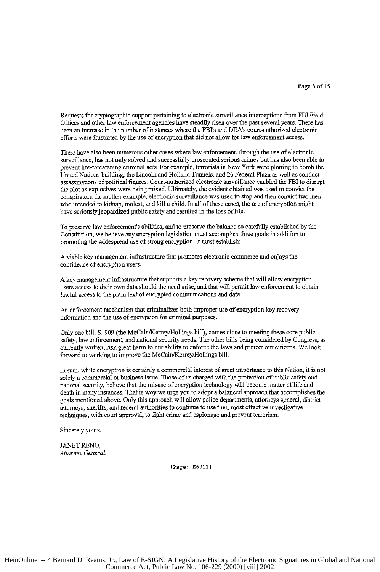Requests for cryptographic support pertaining to electronic surveillance interceptions from FBI Field Offices and other law enforcement agencies have steadily risen over the past several years. There has been an increase in the number of instances where the FBI's and DEA's court-authorized electronic efforts were frustrated by the use of encryption that did not allow for law enforcement access.

There have also been numerous other cases where law enforcement, through the use of electronic surveillance, has not only solved and successfully prosecuted serious crimes but has also been able to prevent life-threatening criminal acts. For example, terrorists in New York were plotting to bomb the United Nations building, the Lincoln and Holland Tunnels, and 26 Federal Plaza as well as conduct assassinations of political figures. Court-authorized electronic surveillance enabled the FBI to disrupt the plot as explosives were being mixed. Ultimately, the evident obtained was used to convict the conspirators. In another example, electronic surveillance was used to stop and then convict two men who intended to kidnap, molest, and kill a child. In all of these cases, the use of encryption might have seriously jeopardized public safety and resulted in the loss of life.

To preserve law enforcement's abilities, and to preserve the balance so carefully established by the Constitution, we believe any encryption legislation must accomplish three goals in addition to promoting the widespread use of strong encryption. It must establish:

A viable key management infrastructure that promotes electronic commerce and enjoys the confidence of encryption users.

A key management infrastructure that supports a key recovery scheme that will allow encryption users access to their own data should the need arise, and that will permit law enforcement to obtain lawful access to the plain text of encrypted communications and data.

An enforcement mechanism that criminalizes both improper use of encryption key recovery information and the use of encryption for criminal purposes.

Only one bill. S. 909 (the McCain/Kerrey/Hollings bill), comes close to meeting these core public safety, law enforcement, and national security needs. The other bills being considered by Congress, as currently written, risk great harm to our ability to enforce the laws and protect our citizens. We look forward to working to improve the McCain/Kerrey/Hollings bill.

In sum, while encryption is certainly a commercial interest of great importance to this Nation, it is not solely a commercial or business issue. Those of us charged with the protection of public safety and national security, believe that the misuse of encryption technology will become matter of life and death in many instances. That is why we urge you to adopt a balanced approach that accomplishes the goals mentioned above. Only this approach will allow police departments, attorneys general, district attorneys, sheriffs, and federal authorities to continue to use their most effective investigative techniques, with court approval, to fight crime and espionage and prevent terrorism.

Sincerely yours,

JANET RENO, *Attorney General.*

[Page: **H6911]**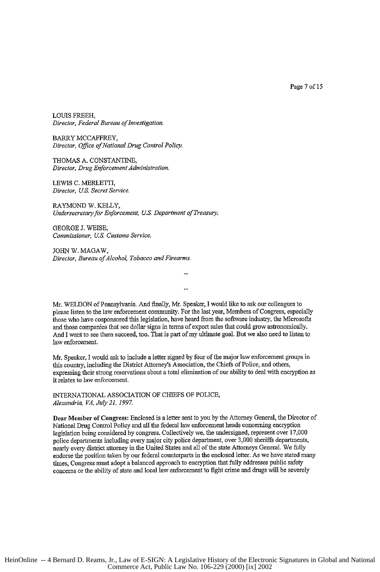Page 7 of **15**

LOUIS FREEH, *Director, Federal Bureau of Investigation.*

BARRY MCCAFFREY, *Director, Office of National Drug Control Policy.*

THOMAS A. CONSTANTINE, *Director, Drug Enforcement Administration.*

LEWIS **C.** MERLETTI, *Director, U.S. Secret Service.*

RAYMOND W. KELLY, *Undersecretary for Enforcement, U.S Department of Treasury.*

GEORGE **J.** WEISE, *Commissioner, U.S. Customs Service.*

JOHN W. MAGAW, *Director, Bureau of Alcohol, Tobacco and Firearms.*

Mr. WELDON of Pennsylvania. And finally, Mr. Speaker, I would like to ask our colleagues to please listen to the law enforcement community. For the last year, Members of Congress, especially those who have cosponsored this legislation, have heard from the software industry, the Microsofts and those companies that see dollar signs in terms of export sales that could grow astronomically. And I want to see them succeed, too. That is part of my ultimate goal. But we also need to listen to law enforcement.

 $\overline{a}$ 

Mr. Speaker, I would ask to include a letter signed by four of the major law enforcement groups in this country, including the District Attorney's Association, the Chiefs of Police, and others, expressing their strong reservations about a total elimination of our ability to deal with encryption as it relates to law enforcement.

INTERNATIONAL ASSOCIATION OF CHIEFS OF POLICE, *Alexandria, VA, July 21, 1997*

Dear Member of Congress: Enclosed is a letter sent to you by the Attorney General, the Director of National Drug Control Policy and all the federal law enforcement heads concerning encryption legislation being considered by congress. Collectively we, the undersigned, represent over 17,000 police departments including every major city police department, over 3,000 sheriffs departments, nearly every district attorney in the United States and all of the state Attorneys General. We fully endorse the position taken by our federal counterparts in the enclosed letter. As we have stated many times, Congress must adopt a balanced approach to encryption that fully addresses public safety concerns or the ability of state and local law enforcement to fight crime and drugs will be severely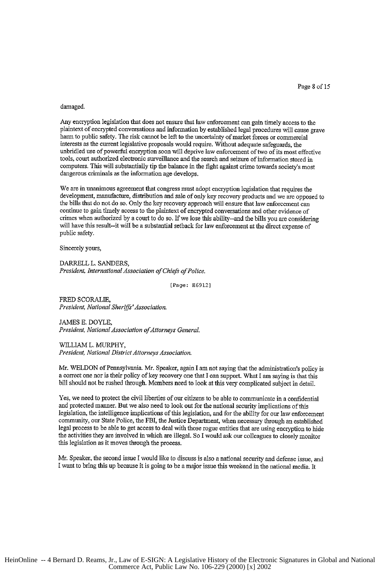damaged.

Any encryption legislation that does not ensure that law enforcement can gain timely access to the plaintext of encrypted conversations and information by established legal procedures will cause grave harm to public safety. The risk cannot be left to the uncertainty of market forces or commercial interests as the current legislative proposals would require. Without adequate safeguards, the unbridled use of powerful encryption soon will deprive law enforcement of two of its most effective tools, court authorized electronic surveillance and the search and seizure of information stored in computers. This will substantially tip the balance in the fight against crime towards society's most dangerous criminals as the information age develops.

We are in unanimous agreement that congress must adopt encryption legislation that requires the development, manufacture, distribution and sale of only key recovery products and we are opposed to the bills that do not do so. Only the key recovery approach will ensure that law enforcement can continue to gain timely access to the plaintext of encrypted conversations and other evidence of crimes when authorized by a court to do so. If we lose this ability--and the bills you are considering will have this result--it will be a substantial setback for law enforcement at the direct expense of public safety.

Sincerely yours,

DARRELL L. SANDERS, *President, International Association of Chiefs of Police.*

[Page: **H6912]**

FRED SCORALIE, *President, National Sheriffs'Association.*

JAMES E. DOYLE, *President, National Association of Attorneys General.*

WILLIAM L. MURPHY, *President, National District Attorneys Association.*

Mr. WELDON of Pennsylvania. Mr. Speaker, again I am not saying that the administration's policy is a correct one nor is their policy of key recovery one that I can support. What I am saying is that this bill should not be rushed through. Members need to look at this very complicated subject in detail.

Yes, we need to protect the civil liberties of our citizens to be able to communicate in a confidential and protected manner. But we also need to look out for the national security implications of this legislation, the intelligence implications of this legislation, and for the ability for our law enforcement community, our State Police, the FBI, the Justice Department, when necessary through an established legal process to be able to get access to deal with those rogue entities that are using encryption to hide the activities they are involved in which are illegal. So I would ask our colleagues to closely monitor this legislation as it moves through the process.

Mr. Speaker, the second issue I would like to discuss is also a national security and defense issue, and I want to bring this up because it is going to be a major issue this weekend in the national media. It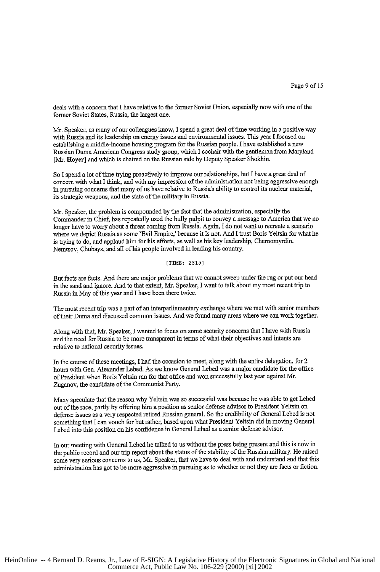deals with a concern that I have relative to the former Soviet Union, especially now with one of the former Soviet States, Russia, the largest one.

Mr. Speaker, as many of our colleagues know, I spend a great deal of time working in a positive way with Russia and its leadership on energy issues and environmental issues. This year I focused on establishing a middle-income housing program for the Russian people. I have established a new Russian Duma American Congress study group, which I cochair with the gentleman from Maryland [Mr. Hoyer] and which is chaired on the Russian side by Deputy Speaker Shokhin.

So I spend a lot of time trying proactively to improve our relationships, but I have a great deal of concern with what I think, and with my impression of the administration not being aggressive enough in pursuing concerns that many of us have relative to Russia's ability to control its nuclear material, its strategic weapons, and the state of the military in Russia.

Mr. Speaker, the problem is compounded by the fact that the administration, especially the Commander in Chief, has repeatedly used the bully pulpit to convey a message to America that we no longer have to worry about a threat coming from Russia. Again, I do not want to recreate a scenario where we depict Russia as some 'Evil Empire,' because it is not. And I trust Boris Yeltsin for what he is trying to do, and applaud him for his efforts, as well as his key leadership, Chernomyrdin, Nemtsov, Chubays, and all of his people involved in leading his country.

#### [TIME: 2315]

But facts are facts. And there are major problems that we cannot sweep under the rug or put our head in the sand and ignore. And to that extent, Mr. Speaker, I want to talk about my most recent trip to Russia in May of this year and I have been there twice.

The most recent trip was a part of an interparliamentary exchange where we met with senior members of their Duma and discussed common issues. And we found many areas where we can work together.

Along with that, Mr. Speaker, I wanted to focus on some security concerns that I have with Russia and the need for Russia to be more transparent in terms of what their objectives and intents are relative to national security issues.

In the course of these meetings, I had the occasion to meet, along with the entire delegation, for 2 hours with Gen. Alexander Lebed. As we know General Lebed was a major candidate for the office of President when Boris Yeltsin ran for that office and won successfully last year against Mr. Zuganov, the candidate of the Communist Party.

Many speculate that the reason why Yeltsin was so successful was because he was able to get Lebed out of the race, partly by offering him a position as senior defense advisor to President Yeltsin on defense issues as a very respected retired Russian general. So the credibility of General Lebed is not something that I can vouch for but rather, based upon what President Yeltsin did in moving General Lebed into this position on his confidence in General Lebed as a senior defense advisor.

In our meeting with General Lebed he talked to us without the press being present and this is now in the public record and our trip report about the status of the stability of the Russian military. He raised some very serious concerns to us, Mr. Speaker, that we have to deal with and understand and that this administration has got to be more aggressive in pursuing as to whether or not they are facts or fiction.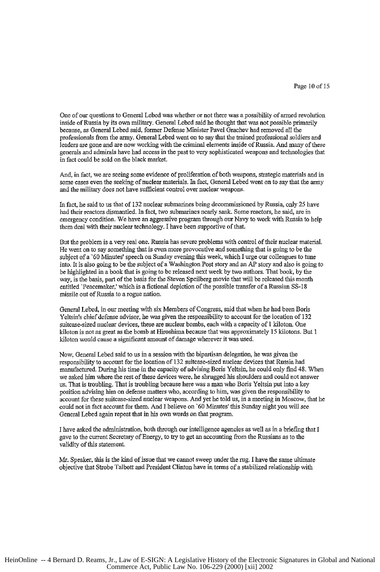One of our questions to General Lebed was whether or not there was a possibility of armed revolution inside of Russia by its own military. General Lebed said he thought that was not possible primarily because, as General Lebed said, former Defense Minister Pavel Grachev had removed all the professionals from the army. General Lebed went on to say that the trained professional soldiers and leaders are gone and are now working with the criminal elements inside of Russia. And many of these generals and admirals have had access in the past to very sophisticated weapons and technologies that in fact could be sold on the black market.

And, in fact, we are seeing some evidence of proliferation of both weapons, strategic materials and in some cases even the seeking of nuclear materials. In fact, General Lebed went on to say that the army and the military does not have sufficient control over nuclear weapons.

In fact, he said to us that of 132 nuclear submarines being decommissioned by Russia, only 25 have had their reactors dismantled. In fact, two submarines nearly sank. Some reactors, he said, are in emergency condition. We have an aggressive program through our Navy to work with Russia to help them deal with their nuclear technology. I have been supportive of that.

But the problem is a very real one. Russia has severe problems with control of their nuclear material. He went on to say something that is even more provocative and something that is going to be the subject of a **'60** Minutes' speech on Sunday evening this week, which I urge our colleagues to tune into. It is also going to be the subject of a Washington Post story and an AP story and also is going to be highlighted in a book that is going to be released next week by two authors. That book, by the way, is the basis, part of the basis for the Steven Speilberg movie that will be released this month entitled 'Peacemaker,' which is a fictional depiction of the possible transfer of a Russian SS-18 missile out of Russia to a rogue nation.

General Lebed, in our meeting with six Members of Congress, said that when he had been Boris Yeltsin's chief defense advisor, he was given the responsibility to account for the location of 132 suitcase-sized nuclear devices, these are nuclear bombs, each with a capacity of 1 kiloton. One kiloton is not as great as the bomb at Hiroshima because that was approximately 15 kilotons. But **1** kiloton would cause a significant amount of damage wherever it was used.

Now, General Lebed said to us in a session with the bipartisan delegation, he was given the responsibility to account for the location of 132 suitcase-sized nuclear devices that Russia had manufactured. During his time in the capacity of advising Boris Yeltsin, he could only find 48. When we asked him where the rest of these devices were, he shrugged his shoulders and could not answer us. That is troubling. That is troubling because here was a man who Boris Yeltsin put into a key position advising him on defense matters who, according to him, was given the responsibility to account for these suitcase-sized nuclear weapons. And yet he told us, in a meeting in Moscow, that he could not in fact account for them. And **I** believe on **'60** Minutes' this Sunday night you will see General Lebed again repeat that in his own words on that program.

I have asked the administration, both through our intelligence agencies as well as in a briefing that I gave to the current Secretary of Energy, to try to get an accounting from the Russians as to the validity of this statement.

Mr. Speaker, this is the kind of issue that we cannot sweep under the rag. I have the same ultimate objective that Strobe Talbott and President Clinton have in terms of a stabilized relationship with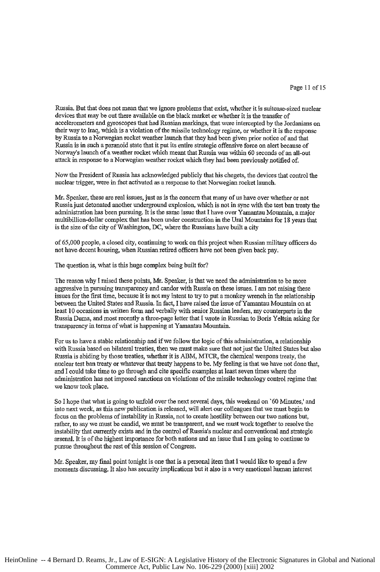Russia. But that does not mean that we ignore problems that exist, whether it is suitcase-sized nuclear devices that may be out there available on the black market or whether it is the transfer of accelerometers and gyroscopes that had Russian markings, that were intercepted by the Jordanians on their way to Iraq, which is a violation of the missile technology regime, or whether it is the response by Russia to a Norwegian rocket weather launch that they had been given prior notice of and that Russia is in such a paranoid state that it put its entire strategic offensive force on alert because of Norway's launch of a weather rocket which meant that Russia was within 60 seconds of an all-out attack in response to a Norwegian weather rocket which they had been previously notified of.

Now the President of Russia has acknowledged publicly tat his chegets, the devices that control the nuclear trigger, were in fact activated as a response to that Norwegian rocket launch.

Mr. Speaker, these are real issues, just as is the concern that many of us have over whether or not Russia just detonated another underground explosion, which is not in sync with the test ban treaty the administration has been pursuing. It is the same issue that I have over Yamantau Mountain, a major multibillion-dollar complex that has been under construction in the Ural Mountains for 18 years that is the size of the city of Washington, DC, where the Russians have built a city

of 65,000 people, a closed city, continuing to work on this project when Russian military officers do not have decent housing, when Russian retired officers have not been given back pay.

The question is, what is this huge complex being built for?

The reason why I raised these points, Mr. Speaker, is that we need the administration to be more aggressive in pursuing transparency and candor with Russia on these issues. I am not raising these issues for the first time, because it is not my intent to try to put a monkey wrench in the relationship between the United States and Russia. In fact, I have raised the issue of Yamantau Mountain on at least 10 occasions in written form and verbally with senior Russian leaders, my counterparts in the Russia Duma, and most recently a three-page letter that I wrote in Russian to Boris Yeltsin asking for transparency in terms of what is happening at Yamantau Mountain.

For us to have a stable relationship and if we follow the logic of this administration, a relationship with Russia based on bilateral treaties, then we must make sure that not just the United States but also Russia is abiding by those treaties, whether it is ABM, MTCR, the chemical weapons treaty, the nuclear test ban treaty or whatever that treaty happens to be. My feeling is that we have not done that, and I could take time to go through and cite specific examples at least seven times where the administration has not imposed sanctions on violations of the missile technology control regime that we know took place.

So I hope that what is going to unfold over the next several days, this weekend on **'60** Minutes,' and into next week, as this new publication is released, will alert our colleagues that we must begin to focus on the problems of instability in Russia, not to create hostility between our two nations but, rather, to say we must be candid, we must be transparent, and we must work together to resolve the instability that currently exists and in the control of Russia's nuclear and conventional and strategic arsenal. It is of the highest importance for both nations and an issue that I am going to continue to pursue throughout the rest of this session of Congress.

Mr. Speaker, my final point tonight is one that is a personal item that **I** would like to spend a few moments discussing. It also has security implications but it also is a very emotional human interest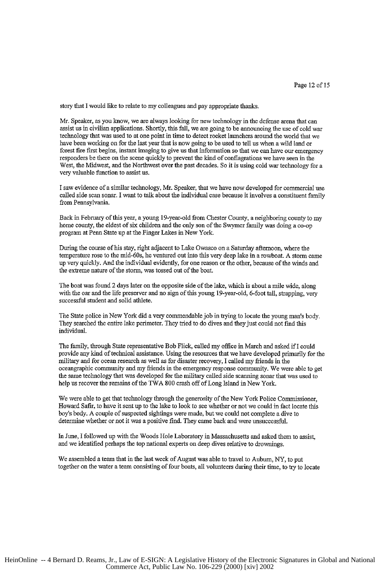story that I would like to relate to my colleagues and pay appropriate thanks.

Mr. Speaker, as you know, we are always looking for new technology in the defense arena that can assist us in civilian applications. Shortly, this fall, we are going to be announcing the use of cold war technology that was used to at one point in time to detect rocket launchers around the world that we have been working on for the last year that is now going to be used to tell us when a wild land or forest fire first begins, instant imaging to give us that information so that we can have our emergency responders be there on the scene quickly to prevent the kind of conflagrations we have seen in the West, the Midwest, and the Northwest over the past decades. So it is using cold war technology for a very valuable function to assist us.

I saw evidence of a similar technology, Mr. Speaker, that we have now developed for commercial use called side scan sonar. I want to talk about the individual case because it involves a constituent family from Pennsylvania.

Back in February of this year, a young 19-year-old from Chester County, a neighboring county to my home county, the eldest of six children and the only son of the Swymer family was doing a co-op program at Penn State up at the Finger Lakes in New York.

During the course of his stay, right adjacent to Lake Owasco on a Saturday afternoon, where the temperature rose to the mid-60s, he ventured out into this very deep lake in a rowboat. A storm came up very quickly. And the individual evidently, for one reason or the other, because of the winds and the extreme nature of the storm, was tossed out of the boat.

The boat was found 2 days later on the opposite side of the lake, which is about a mile wide, along with the oar and the life preserver and no sign of this young 19-year-old, 6-foot tall, strapping, very successful student and solid athlete.

The State police in New York did a very commendable job in trying to locate the young man's body. They searched the entire lake perimeter. They tried to do dives and they just could not find this individual.

The family, through State representative Bob Flick, called my office in March and asked if I could provide any kind of technical assistance. Using the resources that we have developed primarily for the military and for ocean research as well as for disaster recovery, I called my friends in the oceangraphic community and my friends in the emergency response community. We were able to get the same technology that was developed for the military called side scanning sonar that was used to help us recover the remains of the TWA 800 crash off of Long Island in New York.

We were able to get that technology through the generosity of the New York Police Commissioner, Howard Safir, to have it sent up to the lake to look to see whether or not we could in fact locate this boy's body. A couple of suspected sightings were made, but we could not complete a dive to determine whether or not it was a positive find. They came back and were unsuccessful.

In June, I followed up with the Woods Hole Laboratory in Massachusetts and asked them to assist, and we identified perhaps the top national experts on deep dives relative to drownings.

We assembled a team that in the last week of August was able to travel to Auburn, NY, to put together on the water a team consisting of four boats, all volunteers during their time, to try to locate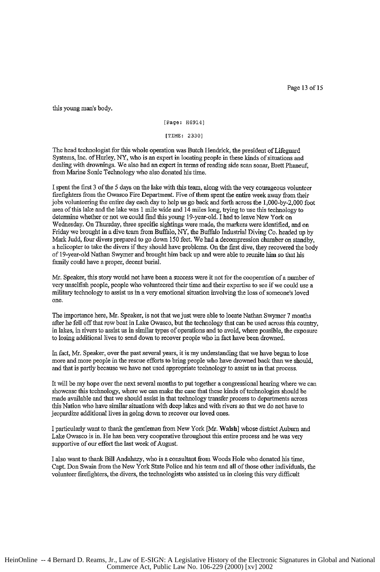this young man's body.

#### [Page: H6914]

[TIME: 2330]

The head technologist for this whole operation was Butch Hendrick, the president of Lifeguard Systems, Inc. of Hurley, NY, who is an expert in locating people in these kinds of situations and dealing with drownings. We also had an expert in terms of reading side scan sonar, Brett Phaneuf, from Marine Sonic Technology who also donated his time.

I spent the first 3 of the 5 days on the lake with this team, along with the very courageous volunteer firefighters from the Owasco Fire Department. Five of them spent the entire week away from their jobs volunteering the entire day each day to help us go back and forth across the 1,000-by-2,000 foot area of this lake and the lake was **1** mile wide and 14 miles long, trying to use this technology to determine whether or not we could find this young 19-year-old. I had to leave New York on Wednesday. On Thursday, three specific sightings were made, the markers were identified, and on Friday we brought in a dive team from Buffalo, NY, the Buffalo Industrial Diving Co. headed up by Mark Judd, four divers prepared to go down 150 feet. We had a decompression chamber on standby, a helicopter to take the divers if they should have problems. On the first dive, they recovered the body of 19-year-old Nathan Swymer and brought him back up and were able to reunite him so that his family could have a proper, decent burial.

Mr. Speaker, this story would not have been a success were it not for the cooperation of a number of very unselfish people, people who volunteered their time and their expertise to see if we could use a military technology to assist us in a very emotional situation involving the loss of someone's loved one.

The importance here, Mr. Speaker, is not that we just were able to locate Nathan Swymer 7 months after he fell off that row boat in Lake Owasco, but the technology that can be used across this country, in lakes, in rivers to assist us in similar types of operations and to avoid, where possible, the exposure to losing additional lives to send down to recover people who in fact have been drowned.

In fact, Mr. Speaker, over the past several years, it is my understanding that we have begun to lose more and more people in the rescue efforts to bring people who have drowned back than we should, and that is partly because we have not used appropriate technology to assist us in that process.

It will be my hope over the next several months to put together a congressional hearing where we can showcase this technology, where we can make the case that these kinds of technologies should be made available and that we should assist in that technology transfer process to departments across this Nation who have similar situations with deep lakes and with rivers so that we do not have to jeopardize additional lives in going down to recover our loved ones.

I particularly want to thank the gentleman from New York [Mr. Walsh] whose district Auburn and Lake Owasco is in. He has been very cooperative throughout this entire process and he was very supportive of our effort the last week of August.

I also want to thank Bill Andahazy, who is a consultant from Woods Hole who donated his time, Capt. Don Swain from the New York State Police and his team and all of those other individuals, the volunteer firefighters, the divers, the technologists who assisted us in closing this very difficult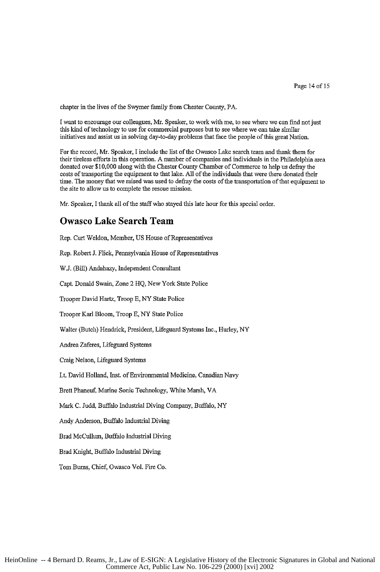chapter in the lives of the Swymer family from Chester County, PA.

I want to encourage our colleagues, Mr. Speaker, to work with me, to see where we can find not just this kind of technology to use for commercial purposes but to see where we can take similar initiatives and assist us in solving day-to-day problems that face the people of this great Nation.

For the record, Mr. Speaker, I include the list of the Owasco Lake search team and thank them for their tireless efforts in this operation. A number of companies and individuals in the Philadelphia area donated over \$10,000 along with the Chester County Chamber of Commerce to help us defray the costs of transporting the equipment to that lake. All of the individuals that were there donated their time. The money that we raised was used to defray the costs of the transportation of that equipment to the site to allow us to complete the rescue mission.

Mr. Speaker, I thank all of the staff who stayed this late hour for this special order.

### **Owasco Lake Search Team**

Rep. Curt Weldon, Member, US House of Representatives

Rep. Robert J. Flick, Pennsylvania House of Representatives

**W.J.** (Bill) Andahazy, Independent Consultant

Capt. Donald Swain, Zone 2 HQ, New York State Police

Trooper David Hartz, Troop E, NY State Police

Trooper Karl Bloom, Troop **E,** NY State Police

Walter (Butch) Hendrick, President, Lifeguard Systems Inc., Hurley, NY

Andrea Zaferes, Lifeguard Systems

Craig Nelson, Lifeguard Systems

Lt. David Holland, Inst. of Environmental Medicine, Canadian Navy

Brett Phaneuf, Marine Sonic Technology, White Marsh, VA

Mark C. Judd, Buffalo Industrial Diving Company, Buffalo, NY

Andy Anderson, Buffalo industrial Diving

Brad McCullum, Buffalo Industrial Diving

Brad Knight, Buffalo Industrial Diving

Tom Bums, Chief, Owasco Vol. Fire Co.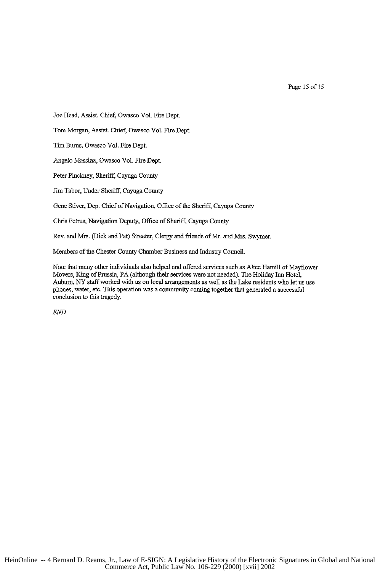Page 15 of 15

Joe Head, Assist. Chief, Owasco Vol. Fire Dept. Tom Morgan, Assist. Chief, Owasco Vol. Fire Dept. Tim Bums, Owasco Vol. Fire Dept. Angelo Massina, Owasco Vol. Fire Dept. Peter Pinckney, Sheriff, Cayuga County Jim Tabor, Under Sheriff, Cayuga County Gene Stiver, Dep. Chief of Navigation, Office of the Sheriff, Cayuga County Chris Petrus, Navigation Deputy, Office of Sheriff, Cayuga County

Rev. and Mrs. (Dick and Pat) Streeter, Clergy and friends of Mr. and Mrs. Swymer.

Members of the Chester County Chamber Business and Industry Council.

Note that many other individuals also helped and offered services such as Alice Hamill of Mayflower Movers, King of Prussia, PA (although their services were not needed). The Holiday Inn Hotel, Auburn, NY staffworked with us on local arrangements as well as the Lake residents who let us use phones, water, etc. This operation was a community coming together that generated a successful conclusion to this tragedy.

*END*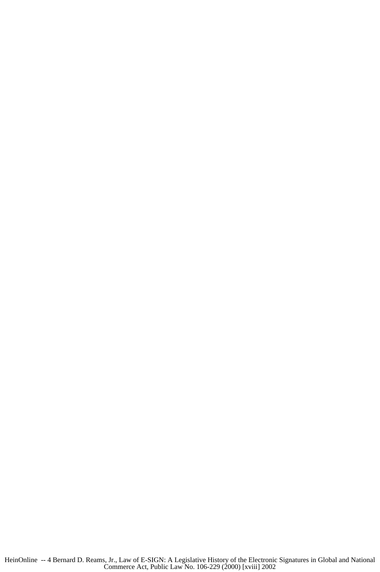HeinOnline -- 4 Bernard D. Reams, Jr., Law of E-SIGN: A Legislative History of the Electronic Signatures in Global and National Commerce Act, Public Law No. 106-229 (2000) [xviii] 2002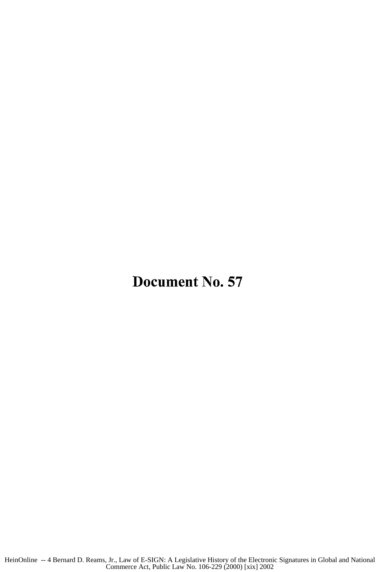## Document No. **57**

HeinOnline -- 4 Bernard D. Reams, Jr., Law of E-SIGN: A Legislative History of the Electronic Signatures in Global and National Commerce Act, Public Law No. 106-229 (2000) [xix] 2002